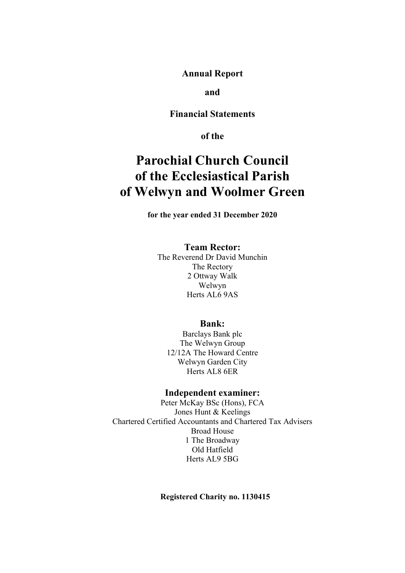**Annual Report** 

**and** 

**Financial Statements** 

**of the** 

# **Parochial Church Council of the Ecclesiastical Parish of Welwyn and Woolmer Green**

**for the year ended 31 December 2020** 

### **Team Rector:**

The Reverend Dr David Munchin The Rectory 2 Ottway Walk Welwyn Herts AL6 9AS

## **Bank:**

Barclays Bank plc The Welwyn Group 12/12A The Howard Centre Welwyn Garden City Herts AL8 6ER

#### **Independent examiner:**

Peter McKay BSc (Hons), FCA Jones Hunt & Keelings Chartered Certified Accountants and Chartered Tax Advisers Broad House 1 The Broadway Old Hatfield Herts AL9 5BG

**Registered Charity no. 1130415**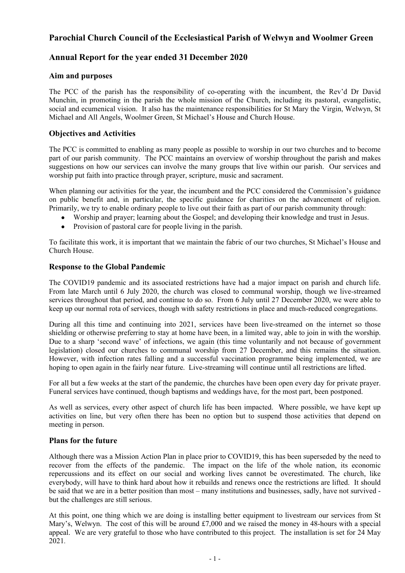## **Annual Report for the year ended 31 December 2020**

### **Aim and purposes**

The PCC of the parish has the responsibility of co-operating with the incumbent, the Rev'd Dr David Munchin, in promoting in the parish the whole mission of the Church, including its pastoral, evangelistic, social and ecumenical vision. It also has the maintenance responsibilities for St Mary the Virgin, Welwyn, St Michael and All Angels, Woolmer Green, St Michael's House and Church House.

### **Objectives and Activities**

The PCC is committed to enabling as many people as possible to worship in our two churches and to become part of our parish community. The PCC maintains an overview of worship throughout the parish and makes suggestions on how our services can involve the many groups that live within our parish. Our services and worship put faith into practice through prayer, scripture, music and sacrament.

When planning our activities for the year, the incumbent and the PCC considered the Commission's guidance on public benefit and, in particular, the specific guidance for charities on the advancement of religion. Primarily, we try to enable ordinary people to live out their faith as part of our parish community through:

- Worship and prayer; learning about the Gospel; and developing their knowledge and trust in Jesus.
- Provision of pastoral care for people living in the parish.

To facilitate this work, it is important that we maintain the fabric of our two churches, St Michael's House and Church House.

#### **Response to the Global Pandemic**

The COVID19 pandemic and its associated restrictions have had a major impact on parish and church life. From late March until 6 July 2020, the church was closed to communal worship, though we live-streamed services throughout that period, and continue to do so. From 6 July until 27 December 2020, we were able to keep up our normal rota of services, though with safety restrictions in place and much-reduced congregations.

During all this time and continuing into 2021, services have been live-streamed on the internet so those shielding or otherwise preferring to stay at home have been, in a limited way, able to join in with the worship. Due to a sharp 'second wave' of infections, we again (this time voluntarily and not because of government legislation) closed our churches to communal worship from 27 December, and this remains the situation. However, with infection rates falling and a successful vaccination programme being implemented, we are hoping to open again in the fairly near future. Live-streaming will continue until all restrictions are lifted.

For all but a few weeks at the start of the pandemic, the churches have been open every day for private prayer. Funeral services have continued, though baptisms and weddings have, for the most part, been postponed.

As well as services, every other aspect of church life has been impacted. Where possible, we have kept up activities on line, but very often there has been no option but to suspend those activities that depend on meeting in person.

#### **Plans for the future**

Although there was a Mission Action Plan in place prior to COVID19, this has been superseded by the need to recover from the effects of the pandemic. The impact on the life of the whole nation, its economic repercussions and its effect on our social and working lives cannot be overestimated. The church, like everybody, will have to think hard about how it rebuilds and renews once the restrictions are lifted. It should be said that we are in a better position than most – many institutions and businesses, sadly, have not survived but the challenges are still serious.

At this point, one thing which we are doing is installing better equipment to livestream our services from St Mary's, Welwyn. The cost of this will be around £7,000 and we raised the money in 48-hours with a special appeal. We are very grateful to those who have contributed to this project. The installation is set for 24 May 2021.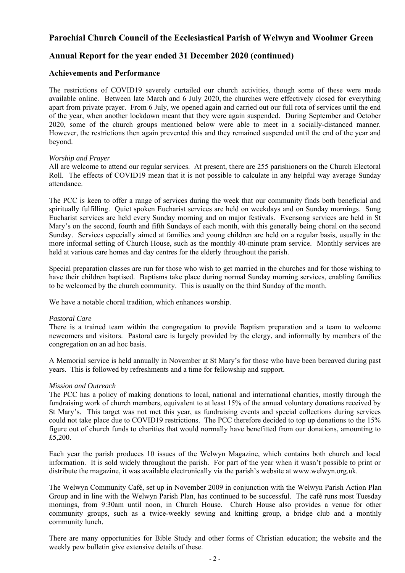## **Annual Report for the year ended 31 December 2020 (continued)**

#### **Achievements and Performance**

The restrictions of COVID19 severely curtailed our church activities, though some of these were made available online. Between late March and 6 July 2020, the churches were effectively closed for everything apart from private prayer. From 6 July, we opened again and carried out our full rota of services until the end of the year, when another lockdown meant that they were again suspended. During September and October 2020, some of the church groups mentioned below were able to meet in a socially-distanced manner. However, the restrictions then again prevented this and they remained suspended until the end of the year and beyond.

#### *Worship and Prayer*

All are welcome to attend our regular services. At present, there are 255 parishioners on the Church Electoral Roll. The effects of COVID19 mean that it is not possible to calculate in any helpful way average Sunday attendance.

The PCC is keen to offer a range of services during the week that our community finds both beneficial and spiritually fulfilling. Quiet spoken Eucharist services are held on weekdays and on Sunday mornings. Sung Eucharist services are held every Sunday morning and on major festivals. Evensong services are held in St Mary's on the second, fourth and fifth Sundays of each month, with this generally being choral on the second Sunday. Services especially aimed at families and young children are held on a regular basis, usually in the more informal setting of Church House, such as the monthly 40-minute pram service. Monthly services are held at various care homes and day centres for the elderly throughout the parish.

Special preparation classes are run for those who wish to get married in the churches and for those wishing to have their children baptised. Baptisms take place during normal Sunday morning services, enabling families to be welcomed by the church community. This is usually on the third Sunday of the month.

We have a notable choral tradition, which enhances worship.

#### *Pastoral Care*

There is a trained team within the congregation to provide Baptism preparation and a team to welcome newcomers and visitors. Pastoral care is largely provided by the clergy, and informally by members of the congregation on an ad hoc basis.

A Memorial service is held annually in November at St Mary's for those who have been bereaved during past years. This is followed by refreshments and a time for fellowship and support.

#### *Mission and Outreach*

The PCC has a policy of making donations to local, national and international charities, mostly through the fundraising work of church members, equivalent to at least 15% of the annual voluntary donations received by St Mary's. This target was not met this year, as fundraising events and special collections during services could not take place due to COVID19 restrictions. The PCC therefore decided to top up donations to the 15% figure out of church funds to charities that would normally have benefitted from our donations, amounting to £5,200.

Each year the parish produces 10 issues of the Welwyn Magazine, which contains both church and local information. It is sold widely throughout the parish. For part of the year when it wasn't possible to print or distribute the magazine, it was available electronically via the parish's website at www.welwyn.org.uk.

The Welwyn Community Café, set up in November 2009 in conjunction with the Welwyn Parish Action Plan Group and in line with the Welwyn Parish Plan, has continued to be successful. The café runs most Tuesday mornings, from 9:30am until noon, in Church House. Church House also provides a venue for other community groups, such as a twice-weekly sewing and knitting group, a bridge club and a monthly community lunch.

There are many opportunities for Bible Study and other forms of Christian education; the website and the weekly pew bulletin give extensive details of these.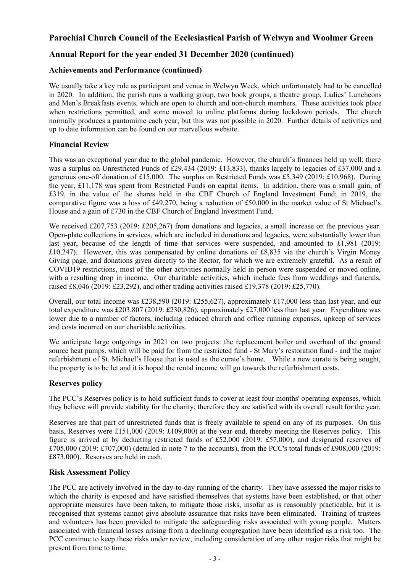## **Annual Report for the year ended 31 December 2020 (continued)**

### **Achievements and Performance (continued)**

We usually take a key role as participant and venue in Welwyn Week, which unfortunately had to be cancelled in 2020. In addition, the parish runs a walking group, two book groups, a theatre group, Ladies' Luncheons and Men's Breakfasts events, which are open to church and non-church members. These activities took place when restrictions permitted, and some moved to online platforms during lockdown periods. The church normally produces a pantomime each year, but this was not possible in 2020. Further details of activities and up to date information can be found on our marvellous website.

### **Financial Review**

This was an exceptional year due to the global pandemic. However, the church's finances held up well; there was a surplus on Unrestricted Funds of £29,434 (2019: £13,833), thanks largely to legacies of £37,000 and a generous one-off donation of £15,000. The surplus on Restricted Funds was £5,349 (2019: £10,968). During the year, £11,178 was spent from Restricted Funds on capital items. In addition, there was a small gain, of £319, in the value of the shares held in the CBF Church of England Investment Fund; in 2019, the comparative figure was a loss of £49,270, being a reduction of £50,000 in the market value of St Michael's House and a gain of £730 in the CBF Church of England Investment Fund.

We received £207,753 (2019: £205,267) from donations and legacies, a small increase on the previous year. Open-plate collections in services, which are included in donations and legacies, were substantially lower than last year, because of the length of time that services were suspended, and amounted to £1,981 (2019: £10,247). However, this was compensated by online donations of £8,835 via the church's Virgin Money Giving page, and donations given directly to the Rector, for which we are extremely grateful. As a result of COVID19 restrictions, most of the other activities normally held in person were suspended or moved online, with a resulting drop in income. Our charitable activities, which include fees from weddings and funerals, raised £8,046 (2019: £23,292), and other trading activities raised £19,378 (2019: £25,770).

Overall, our total income was £238,590 (2019: £255,627), approximately £17,000 less than last year, and our total expenditure was £203,807 (2019: £230,826), approximately £27,000 less than last year. Expenditure was lower due to a number of factors, including reduced church and office running expenses, upkeep of services and costs incurred on our charitable activities.

We anticipate large outgoings in 2021 on two projects: the replacement boiler and overhaul of the ground source heat pumps, which will be paid for from the restricted fund - St Mary's restoration fund - and the major refurbishment of St. Michael's House that is used as the curate's home. While a new curate is being sought, the property is to be let and it is hoped the rental income will go towards the refurbishment costs.

#### **Reserves policy**

The PCC's Reserves policy is to hold sufficient funds to cover at least four months' operating expenses, which they believe will provide stability for the charity; therefore they are satisfied with its overall result for the year.

Reserves are that part of unrestricted funds that is freely available to spend on any of its purposes. On this basis, Reserves were £151,000 (2019: £109,000) at the year-end, thereby meeting the Reserves policy. This figure is arrived at by deducting restricted funds of £52,000 (2019: £57,000), and designated reserves of £705,000 (2019: £707,000) (detailed in note 7 to the accounts), from the PCC's total funds of £908,000 (2019: £873,000). Reserves are held in cash.

#### **Risk Assessment Policy**

The PCC are actively involved in the day-to-day running of the charity. They have assessed the major risks to which the charity is exposed and have satisfied themselves that systems have been established, or that other appropriate measures have been taken, to mitigate those risks, insofar as is reasonably practicable, but it is recognised that systems cannot give absolute assurance that risks have been eliminated. Training of trustees and volunteers has been provided to mitigate the safeguarding risks associated with young people. Matters associated with financial losses arising from a declining congregation have been identified as a risk too. The PCC continue to keep these risks under review, including consideration of any other major risks that might be present from time to time.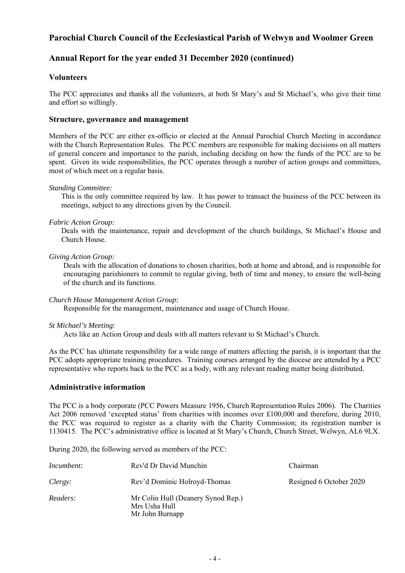## **Annual Report for the year ended 31 December 2020 (continued)**

### **Volunteers**

The PCC appreciates and thanks all the volunteers, at both St Mary's and St Michael's, who give their time and effort so willingly.

#### **Structure, governance and management**

Members of the PCC are either ex-officio or elected at the Annual Parochial Church Meeting in accordance with the Church Representation Rules. The PCC members are responsible for making decisions on all matters of general concern and importance to the parish, including deciding on how the funds of the PCC are to be spent. Given its wide responsibilities, the PCC operates through a number of action groups and committees, most of which meet on a regular basis.

#### *Standing Committee:*

This is the only committee required by law. It has power to transact the business of the PCC between its meetings, subject to any directions given by the Council.

#### *Fabric Action Group:*

Deals with the maintenance, repair and development of the church buildings, St Michael's House and Church House.

#### *Giving Action Group:*

Deals with the allocation of donations to chosen charities, both at home and abroad, and is responsible for encouraging parishioners to commit to regular giving, both of time and money, to ensure the well-being of the church and its functions.

#### *Church House Management Action Group:*

Responsible for the management, maintenance and usage of Church House.

#### *St Michael's Meeting:*

Acts like an Action Group and deals with all matters relevant to St Michael's Church.

 As the PCC has ultimate responsibility for a wide range of matters affecting the parish, it is important that the PCC adopts appropriate training procedures. Training courses arranged by the diocese are attended by a PCC representative who reports back to the PCC as a body, with any relevant reading matter being distributed.

#### **Administrative information**

The PCC is a body corporate (PCC Powers Measure 1956, Church Representation Rules 2006). The Charities Act 2006 removed 'excepted status' from charities with incomes over £100,000 and therefore, during 2010, the PCC was required to register as a charity with the Charity Commission; its registration number is 1130415. The PCC's administrative office is located at St Mary's Church, Church Street, Welwyn, AL6 9LX.

During 2020, the following served as members of the PCC:

| Incumbent: | Rev'd Dr David Munchin                                                 | Chairman                |
|------------|------------------------------------------------------------------------|-------------------------|
| Clergy:    | Rev'd Dominic Holroyd-Thomas                                           | Resigned 6 October 2020 |
| Readers:   | Mr Colin Hull (Deanery Synod Rep.)<br>Mrs Usha Hull<br>Mr John Burnapp |                         |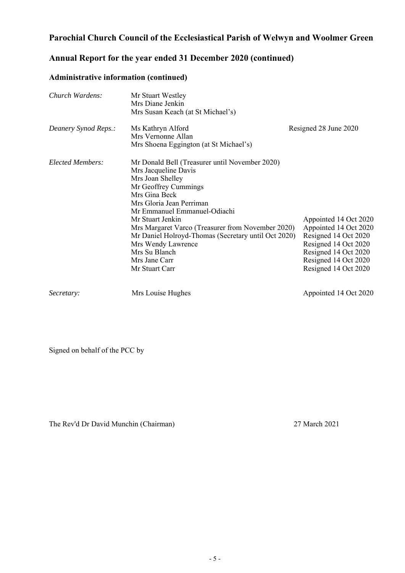## **Annual Report for the year ended 31 December 2020 (continued)**

## **Administrative information (continued)**

| Church Wardens:         | Mr Stuart Westley<br>Mrs Diane Jenkin<br>Mrs Susan Keach (at St Michael's)                                                                                                                                                                                                                                                                                                                                |                                                                                                                                                                        |
|-------------------------|-----------------------------------------------------------------------------------------------------------------------------------------------------------------------------------------------------------------------------------------------------------------------------------------------------------------------------------------------------------------------------------------------------------|------------------------------------------------------------------------------------------------------------------------------------------------------------------------|
| Deanery Synod Reps.:    | Ms Kathryn Alford<br>Mrs Vernonne Allan<br>Mrs Shoena Eggington (at St Michael's)                                                                                                                                                                                                                                                                                                                         | Resigned 28 June 2020                                                                                                                                                  |
| <b>Elected Members:</b> | Mr Donald Bell (Treasurer until November 2020)<br>Mrs Jacqueline Davis<br>Mrs Joan Shelley<br>Mr Geoffrey Cummings<br>Mrs Gina Beck<br>Mrs Gloria Jean Perriman<br>Mr Emmanuel Emmanuel-Odiachi<br>Mr Stuart Jenkin<br>Mrs Margaret Varco (Treasurer from November 2020)<br>Mr Daniel Holroyd-Thomas (Secretary until Oct 2020)<br>Mrs Wendy Lawrence<br>Mrs Su Blanch<br>Mrs Jane Carr<br>Mr Stuart Carr | Appointed 14 Oct 2020<br>Appointed 14 Oct 2020<br>Resigned 14 Oct 2020<br>Resigned 14 Oct 2020<br>Resigned 14 Oct 2020<br>Resigned 14 Oct 2020<br>Resigned 14 Oct 2020 |
| Secretary:              | Mrs Louise Hughes                                                                                                                                                                                                                                                                                                                                                                                         | Appointed 14 Oct 2020                                                                                                                                                  |

Signed on behalf of the PCC by

The Rev'd Dr David Munchin (Chairman) 27 March 2021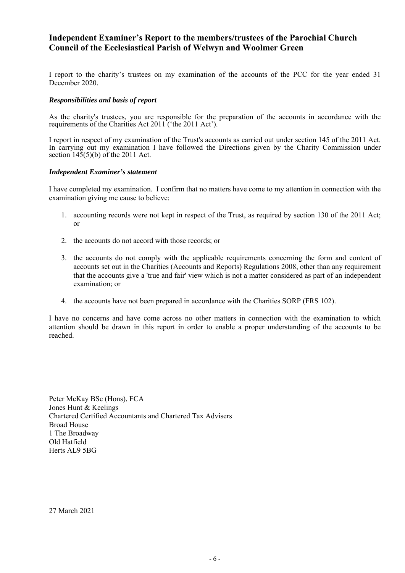## **Independent Examiner's Report to the members/trustees of the Parochial Church Council of the Ecclesiastical Parish of Welwyn and Woolmer Green**

I report to the charity's trustees on my examination of the accounts of the PCC for the year ended 31 December 2020.

#### *Responsibilities and basis of report*

As the charity's trustees, you are responsible for the preparation of the accounts in accordance with the requirements of the Charities Act 2011 ('the 2011 Act').

I report in respect of my examination of the Trust's accounts as carried out under section 145 of the 2011 Act. In carrying out my examination I have followed the Directions given by the Charity Commission under section  $145(5)(b)$  of the 2011 Act.

#### *Independent Examiner's statement*

I have completed my examination. I confirm that no matters have come to my attention in connection with the examination giving me cause to believe:

- 1. accounting records were not kept in respect of the Trust, as required by section 130 of the 2011 Act; or
- 2. the accounts do not accord with those records; or
- 3. the accounts do not comply with the applicable requirements concerning the form and content of accounts set out in the Charities (Accounts and Reports) Regulations 2008, other than any requirement that the accounts give a 'true and fair' view which is not a matter considered as part of an independent examination; or
- 4. the accounts have not been prepared in accordance with the Charities SORP (FRS 102).

I have no concerns and have come across no other matters in connection with the examination to which attention should be drawn in this report in order to enable a proper understanding of the accounts to be reached.

Peter McKay BSc (Hons), FCA Jones Hunt & Keelings Chartered Certified Accountants and Chartered Tax Advisers Broad House 1 The Broadway Old Hatfield Herts AL9 5BG

27 March 2021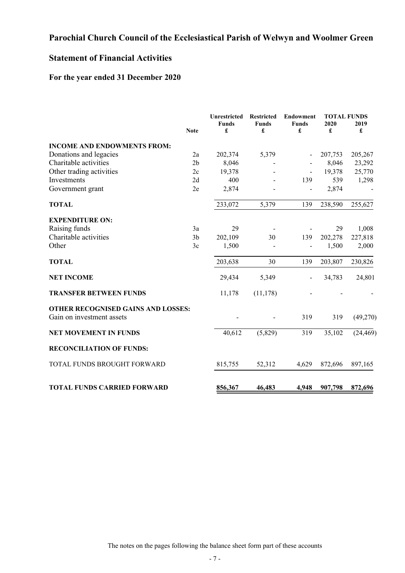## **Statement of Financial Activities**

## **For the year ended 31 December 2020**

|                                                                 | <b>Note</b>    | <b>Unrestricted</b><br><b>Funds</b><br>£ | <b>Restricted</b><br><b>Funds</b><br>£ | <b>Endowment</b><br><b>Funds</b><br>£ | <b>TOTAL FUNDS</b><br>2020<br>£ | 2019<br>£ |
|-----------------------------------------------------------------|----------------|------------------------------------------|----------------------------------------|---------------------------------------|---------------------------------|-----------|
| <b>INCOME AND ENDOWMENTS FROM:</b>                              |                |                                          |                                        |                                       |                                 |           |
| Donations and legacies                                          | 2a             | 202,374                                  | 5,379                                  |                                       | 207,753                         | 205,267   |
| Charitable activities                                           | 2 <sub>b</sub> | 8,046                                    |                                        |                                       | 8,046                           | 23,292    |
| Other trading activities                                        | 2c             | 19,378                                   |                                        |                                       | 19,378                          | 25,770    |
| Investments                                                     | 2d             | 400                                      |                                        | 139                                   | 539                             | 1,298     |
| Government grant                                                | 2e             | 2,874                                    |                                        |                                       | 2,874                           |           |
| <b>TOTAL</b>                                                    |                | 233,072                                  | 5,379                                  | 139                                   | 238,590                         | 255,627   |
| <b>EXPENDITURE ON:</b>                                          |                |                                          |                                        |                                       |                                 |           |
| Raising funds                                                   | 3a             | 29                                       |                                        |                                       | 29                              | 1,008     |
| Charitable activities                                           | 3 <sub>b</sub> | 202,109                                  | 30                                     | 139                                   | 202,278                         | 227,818   |
| Other                                                           | 3c             | 1,500                                    |                                        |                                       | 1,500                           | 2,000     |
| <b>TOTAL</b>                                                    |                | 203,638                                  | 30                                     | 139                                   | 203,807                         | 230,826   |
| <b>NET INCOME</b>                                               |                | 29,434                                   | 5,349                                  |                                       | 34,783                          | 24,801    |
| <b>TRANSFER BETWEEN FUNDS</b>                                   |                | 11,178                                   | (11, 178)                              |                                       |                                 |           |
| OTHER RECOGNISED GAINS AND LOSSES:<br>Gain on investment assets |                |                                          |                                        | 319                                   | 319                             | (49,270)  |
| <b>NET MOVEMENT IN FUNDS</b>                                    |                | 40,612                                   | (5,829)                                | 319                                   | 35,102                          | (24, 469) |
| <b>RECONCILIATION OF FUNDS:</b>                                 |                |                                          |                                        |                                       |                                 |           |
| TOTAL FUNDS BROUGHT FORWARD                                     |                | 815,755                                  | 52,312                                 | 4,629                                 | 872,696                         | 897,165   |
| <b>TOTAL FUNDS CARRIED FORWARD</b>                              |                | 856,367                                  | 46,483                                 | 4,948                                 | 907,798                         | 872,696   |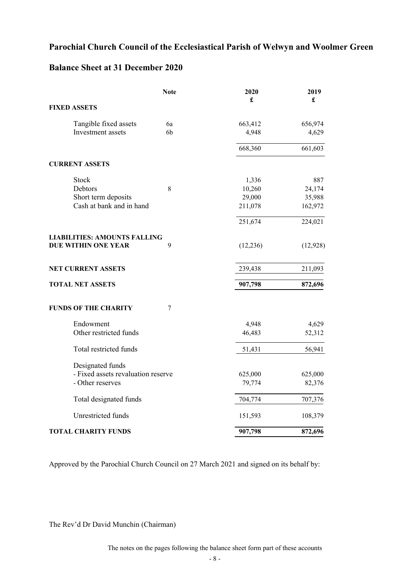## **Balance Sheet at 31 December 2020**

|                                     | <b>Note</b> | 2020<br>£ | 2019<br>£ |
|-------------------------------------|-------------|-----------|-----------|
| <b>FIXED ASSETS</b>                 |             |           |           |
| Tangible fixed assets               | 6a          | 663,412   | 656,974   |
| Investment assets                   | 6b          | 4,948     | 4,629     |
|                                     |             | 668,360   | 661,603   |
| <b>CURRENT ASSETS</b>               |             |           |           |
| Stock                               |             | 1,336     | 887       |
| Debtors                             | 8           | 10,260    | 24,174    |
| Short term deposits                 |             | 29,000    | 35,988    |
| Cash at bank and in hand            |             | 211,078   | 162,972   |
|                                     |             | 251,674   | 224,021   |
| <b>LIABILITIES: AMOUNTS FALLING</b> |             |           |           |
| DUE WITHIN ONE YEAR                 | 9           | (12, 236) | (12, 928) |
| NET CURRENT ASSETS                  |             | 239,438   | 211,093   |
| <b>TOTAL NET ASSETS</b>             |             | 907,798   | 872,696   |
| <b>FUNDS OF THE CHARITY</b>         | 7           |           |           |
| Endowment                           |             | 4,948     | 4,629     |
| Other restricted funds              |             | 46,483    | 52,312    |
| Total restricted funds              |             | 51,431    | 56,941    |
| Designated funds                    |             |           |           |
| - Fixed assets revaluation reserve  |             | 625,000   | 625,000   |
| - Other reserves                    |             | 79,774    | 82,376    |
| Total designated funds              |             | 704,774   | 707,376   |
| Unrestricted funds                  |             | 151,593   | 108,379   |
| <b>TOTAL CHARITY FUNDS</b>          |             | 907,798   | 872,696   |

Approved by the Parochial Church Council on 27 March 2021 and signed on its behalf by:

The Rev'd Dr David Munchin (Chairman)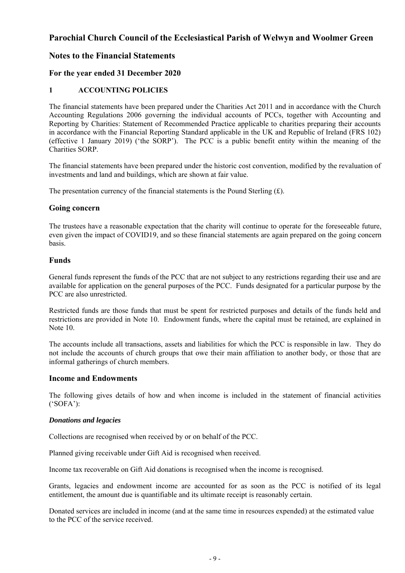## **Notes to the Financial Statements**

### **For the year ended 31 December 2020**

### **1 ACCOUNTING POLICIES**

The financial statements have been prepared under the Charities Act 2011 and in accordance with the Church Accounting Regulations 2006 governing the individual accounts of PCCs, together with Accounting and Reporting by Charities: Statement of Recommended Practice applicable to charities preparing their accounts in accordance with the Financial Reporting Standard applicable in the UK and Republic of Ireland (FRS 102) (effective 1 January 2019) ('the SORP'). The PCC is a public benefit entity within the meaning of the Charities SORP.

The financial statements have been prepared under the historic cost convention, modified by the revaluation of investments and land and buildings, which are shown at fair value.

The presentation currency of the financial statements is the Pound Sterling  $(f)$ .

#### **Going concern**

The trustees have a reasonable expectation that the charity will continue to operate for the foreseeable future, even given the impact of COVID19, and so these financial statements are again prepared on the going concern basis.

#### **Funds**

General funds represent the funds of the PCC that are not subject to any restrictions regarding their use and are available for application on the general purposes of the PCC. Funds designated for a particular purpose by the PCC are also unrestricted.

Restricted funds are those funds that must be spent for restricted purposes and details of the funds held and restrictions are provided in Note 10. Endowment funds, where the capital must be retained, are explained in Note 10.

The accounts include all transactions, assets and liabilities for which the PCC is responsible in law. They do not include the accounts of church groups that owe their main affiliation to another body, or those that are informal gatherings of church members.

#### **Income and Endowments**

The following gives details of how and when income is included in the statement of financial activities ('SOFA'):

#### *Donations and legacies*

Collections are recognised when received by or on behalf of the PCC.

Planned giving receivable under Gift Aid is recognised when received.

Income tax recoverable on Gift Aid donations is recognised when the income is recognised.

Grants, legacies and endowment income are accounted for as soon as the PCC is notified of its legal entitlement, the amount due is quantifiable and its ultimate receipt is reasonably certain.

Donated services are included in income (and at the same time in resources expended) at the estimated value to the PCC of the service received.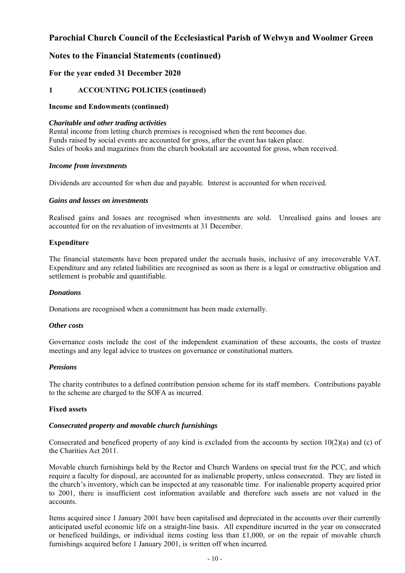## **Notes to the Financial Statements (continued)**

### **For the year ended 31 December 2020**

### **1 ACCOUNTING POLICIES (continued)**

#### **Income and Endowments (continued)**

#### *Charitable and other trading activities*

Rental income from letting church premises is recognised when the rent becomes due. Funds raised by social events are accounted for gross, after the event has taken place. Sales of books and magazines from the church bookstall are accounted for gross, when received.

#### *Income from investments*

Dividends are accounted for when due and payable. Interest is accounted for when received.

#### *Gains and losses on investments*

Realised gains and losses are recognised when investments are sold. Unrealised gains and losses are accounted for on the revaluation of investments at 31 December.

#### **Expenditure**

The financial statements have been prepared under the accruals basis, inclusive of any irrecoverable VAT. Expenditure and any related liabilities are recognised as soon as there is a legal or constructive obligation and settlement is probable and quantifiable.

#### *Donations*

Donations are recognised when a commitment has been made externally.

#### *Other costs*

Governance costs include the cost of the independent examination of these accounts, the costs of trustee meetings and any legal advice to trustees on governance or constitutional matters.

#### *Pensions*

The charity contributes to a defined contribution pension scheme for its staff members. Contributions payable to the scheme are charged to the SOFA as incurred.

#### **Fixed assets**

#### *Consecrated property and movable church furnishings*

Consecrated and beneficed property of any kind is excluded from the accounts by section  $10(2)(a)$  and (c) of the Charities Act 2011.

Movable church furnishings held by the Rector and Church Wardens on special trust for the PCC, and which require a faculty for disposal, are accounted for as inalienable property, unless consecrated. They are listed in the church's inventory, which can be inspected at any reasonable time. For inalienable property acquired prior to 2001, there is insufficient cost information available and therefore such assets are not valued in the accounts.

Items acquired since 1 January 2001 have been capitalised and depreciated in the accounts over their currently anticipated useful economic life on a straight-line basis. All expenditure incurred in the year on consecrated or beneficed buildings, or individual items costing less than £1,000, or on the repair of movable church furnishings acquired before 1 January 2001, is written off when incurred.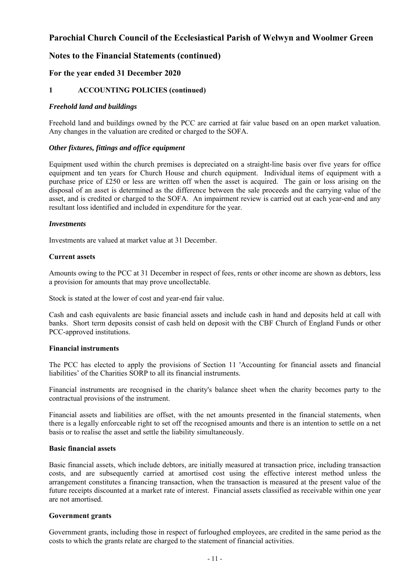## **Notes to the Financial Statements (continued)**

### **For the year ended 31 December 2020**

#### **1 ACCOUNTING POLICIES (continued)**

#### *Freehold land and buildings*

Freehold land and buildings owned by the PCC are carried at fair value based on an open market valuation. Any changes in the valuation are credited or charged to the SOFA.

#### *Other fixtures, fittings and office equipment*

Equipment used within the church premises is depreciated on a straight-line basis over five years for office equipment and ten years for Church House and church equipment. Individual items of equipment with a purchase price of £250 or less are written off when the asset is acquired. The gain or loss arising on the disposal of an asset is determined as the difference between the sale proceeds and the carrying value of the asset, and is credited or charged to the SOFA. An impairment review is carried out at each year-end and any resultant loss identified and included in expenditure for the year.

#### *Investments*

Investments are valued at market value at 31 December.

#### **Current assets**

Amounts owing to the PCC at 31 December in respect of fees, rents or other income are shown as debtors, less a provision for amounts that may prove uncollectable.

Stock is stated at the lower of cost and year-end fair value.

Cash and cash equivalents are basic financial assets and include cash in hand and deposits held at call with banks. Short term deposits consist of cash held on deposit with the CBF Church of England Funds or other PCC-approved institutions.

#### **Financial instruments**

The PCC has elected to apply the provisions of Section 11 'Accounting for financial assets and financial liabilities' of the Charities SORP to all its financial instruments.

Financial instruments are recognised in the charity's balance sheet when the charity becomes party to the contractual provisions of the instrument.

Financial assets and liabilities are offset, with the net amounts presented in the financial statements, when there is a legally enforceable right to set off the recognised amounts and there is an intention to settle on a net basis or to realise the asset and settle the liability simultaneously.

#### **Basic financial assets**

Basic financial assets, which include debtors, are initially measured at transaction price, including transaction costs, and are subsequently carried at amortised cost using the effective interest method unless the arrangement constitutes a financing transaction, when the transaction is measured at the present value of the future receipts discounted at a market rate of interest. Financial assets classified as receivable within one year are not amortised.

#### **Government grants**

Government grants, including those in respect of furloughed employees, are credited in the same period as the costs to which the grants relate are charged to the statement of financial activities.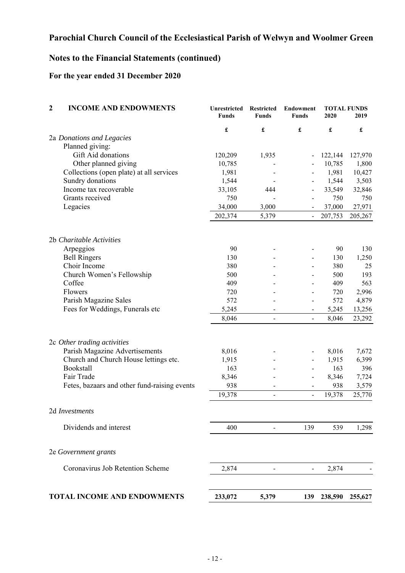## **Notes to the Financial Statements (continued)**

## **For the year ended 31 December 2020**

| $\overline{2}$<br><b>INCOME AND ENDOWMENTS</b> | <b>Unrestricted</b><br><b>Funds</b> | <b>Restricted</b><br><b>Funds</b> | Endowment<br><b>Funds</b> | 2020    | <b>TOTAL FUNDS</b><br>2019 |
|------------------------------------------------|-------------------------------------|-----------------------------------|---------------------------|---------|----------------------------|
|                                                | £                                   | £                                 | £                         | £       | $\pmb{\mathfrak{L}}$       |
| 2a Donations and Legacies                      |                                     |                                   |                           |         |                            |
| Planned giving:                                |                                     |                                   |                           |         |                            |
| Gift Aid donations                             | 120,209                             | 1,935                             |                           | 122,144 | 127,970                    |
| Other planned giving                           | 10,785                              |                                   |                           | 10,785  | 1,800                      |
| Collections (open plate) at all services       | 1,981                               |                                   |                           | 1,981   | 10,427                     |
| Sundry donations                               | 1,544                               |                                   |                           | 1,544   | 3,503                      |
| Income tax recoverable                         | 33,105                              | 444                               | $\overline{\phantom{a}}$  | 33,549  | 32,846                     |
| Grants received                                | 750                                 |                                   | $\overline{a}$            | 750     | 750                        |
| Legacies                                       | 34,000                              | 3,000                             |                           | 37,000  | 27,971                     |
|                                                | 202,374                             | 5,379                             | $\blacksquare$            | 207,753 | 205,267                    |
| 2b Charitable Activities                       |                                     |                                   |                           |         |                            |
| Arpeggios                                      | 90                                  |                                   |                           | 90      | 130                        |
| <b>Bell Ringers</b>                            | 130                                 |                                   |                           | 130     | 1,250                      |
| Choir Income                                   | 380                                 |                                   |                           | 380     | 25                         |
| Church Women's Fellowship                      | 500                                 |                                   |                           | 500     | 193                        |
| Coffee                                         | 409                                 |                                   |                           | 409     | 563                        |
| Flowers                                        | 720                                 |                                   | $\overline{\phantom{0}}$  | 720     | 2,996                      |
| Parish Magazine Sales                          | 572                                 |                                   | $\overline{\phantom{0}}$  | 572     | 4,879                      |
| Fees for Weddings, Funerals etc                | 5,245                               |                                   | $\overline{\phantom{a}}$  | 5,245   | 13,256                     |
|                                                | 8,046                               | $\overline{\phantom{a}}$          | $\blacksquare$            | 8,046   | 23,292                     |
|                                                |                                     |                                   |                           |         |                            |
| 2c Other trading activities                    |                                     |                                   |                           |         |                            |
| Parish Magazine Advertisements                 | 8,016                               |                                   | -                         | 8,016   | 7,672                      |
| Church and Church House lettings etc.          | 1,915                               |                                   | $\overline{\phantom{0}}$  | 1,915   | 6,399                      |
| Bookstall                                      | 163                                 |                                   |                           | 163     | 396                        |
| Fair Trade                                     | 8,346                               |                                   |                           | 8,346   | 7,724                      |
| Fetes, bazaars and other fund-raising events   | 938                                 |                                   | $\blacksquare$            | 938     | 3,579                      |
|                                                | 19,378                              | $\qquad \qquad \blacksquare$      | $\blacksquare$            | 19,378  | 25,770                     |
| 2d Investments                                 |                                     |                                   |                           |         |                            |
| Dividends and interest                         | 400                                 |                                   | 139                       | 539     | 1,298                      |
| 2e Government grants                           |                                     |                                   |                           |         |                            |
| Coronavirus Job Retention Scheme               | 2,874                               |                                   |                           | 2,874   |                            |
| <b>TOTAL INCOME AND ENDOWMENTS</b>             | 233,072                             | 5,379                             | 139                       | 238,590 | 255,627                    |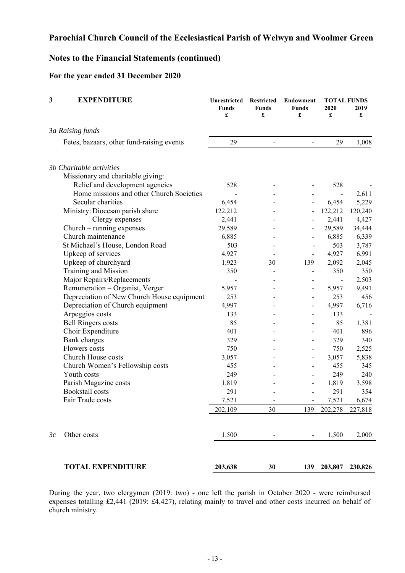## **Notes to the Financial Statements (continued)**

## **For the year ended 31 December 2020**

| 3  | <b>EXPENDITURE</b>                         | <b>Unrestricted</b><br><b>Funds</b><br>£ | <b>Restricted</b><br><b>Funds</b><br>£ | <b>Endowment</b><br><b>Funds</b><br>£ | 2020<br>£ | <b>TOTAL FUNDS</b><br>2019<br>£ |
|----|--------------------------------------------|------------------------------------------|----------------------------------------|---------------------------------------|-----------|---------------------------------|
|    | 3a Raising funds                           |                                          |                                        |                                       |           |                                 |
|    | Fetes, bazaars, other fund-raising events  | 29                                       |                                        | $\blacksquare$                        | 29        | 1,008                           |
|    | 3b Charitable activities                   |                                          |                                        |                                       |           |                                 |
|    | Missionary and charitable giving:          |                                          |                                        |                                       |           |                                 |
|    | Relief and development agencies            | 528                                      |                                        |                                       | 528       |                                 |
|    | Home missions and other Church Societies   |                                          |                                        |                                       |           | 2,611                           |
|    | Secular charities                          | 6,454                                    |                                        | $\overline{\phantom{a}}$              | 6,454     | 5,229                           |
|    | Ministry: Diocesan parish share            | 122,212                                  |                                        |                                       | 122,212   | 120,240                         |
|    | Clergy expenses                            | 2,441                                    |                                        |                                       | 2,441     | 4,427                           |
|    | $Church - running$ expenses                | 29,589                                   |                                        |                                       | 29,589    | 34,444                          |
|    | Church maintenance                         | 6,885                                    |                                        |                                       | 6,885     | 6,339                           |
|    | St Michael's House, London Road            | 503                                      |                                        |                                       | 503       | 3,787                           |
|    | Upkeep of services                         | 4,927                                    |                                        |                                       | 4,927     | 6,991                           |
|    | Upkeep of churchyard                       | 1,923                                    | 30                                     | 139                                   | 2,092     | 2,045                           |
|    | Training and Mission                       | 350                                      |                                        | $\overline{\phantom{m}}$              | 350       | 350                             |
|    | Major Repairs/Replacements                 |                                          |                                        |                                       |           | 2,503                           |
|    | Remuneration - Organist, Verger            | 5,957                                    |                                        |                                       | 5,957     | 9,491                           |
|    | Depreciation of New Church House equipment | 253                                      |                                        | $\overline{\phantom{a}}$              | 253       | 456                             |
|    | Depreciation of Church equipment           | 4,997                                    |                                        | $\overline{\phantom{a}}$              | 4,997     | 6,716                           |
|    | Arpeggios costs                            | 133                                      |                                        |                                       | 133       |                                 |
|    | <b>Bell Ringers costs</b>                  | 85                                       |                                        |                                       | 85        | 1,381                           |
|    | Choir Expenditure                          | 401                                      |                                        |                                       | 401       | 896                             |
|    | Bank charges                               | 329                                      |                                        | $\overline{\phantom{a}}$              | 329       | 340                             |
|    | Flowers costs                              | 750                                      |                                        | $\overline{\phantom{a}}$              | 750       | 2,525                           |
|    | Church House costs                         | 3,057                                    |                                        | $\qquad \qquad \blacksquare$          | 3,057     | 5,838                           |
|    | Church Women's Fellowship costs            | 455                                      |                                        |                                       | 455       | 345                             |
|    | Youth costs                                | 249                                      |                                        | $\overline{\phantom{a}}$              | 249       | 240                             |
|    | Parish Magazine costs                      | 1,819                                    |                                        | $\overline{\phantom{a}}$              | 1,819     | 3,598                           |
|    | <b>Bookstall</b> costs                     | 291                                      |                                        |                                       | 291       | 354                             |
|    | Fair Trade costs                           | 7,521                                    |                                        |                                       | 7,521     | 6,674                           |
|    |                                            | 202,109                                  | 30                                     | 139                                   | 202,278   | 227,818                         |
| 3c | Other costs                                | 1,500                                    |                                        |                                       | 1,500     | 2,000                           |
|    | <b>TOTAL EXPENDITURE</b>                   | 203,638                                  | 30                                     | 139                                   | 203,807   | 230,826                         |

During the year, two clergymen (2019: two) - one left the parish in October 2020 - were reimbursed expenses totalling £2,441 (2019: £4,427), relating mainly to travel and other costs incurred on behalf of church ministry.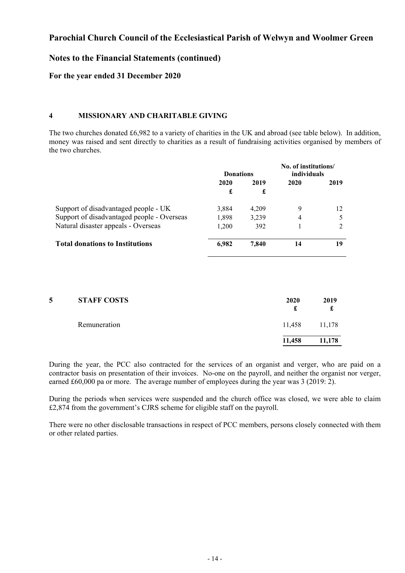### **Notes to the Financial Statements (continued)**

### **For the year ended 31 December 2020**

#### **4 MISSIONARY AND CHARITABLE GIVING**

The two churches donated £6,982 to a variety of charities in the UK and abroad (see table below). In addition, money was raised and sent directly to charities as a result of fundraising activities organised by members of the two churches.

|                                            | <b>Donations</b> |       | No. of institutions/<br>individuals |      |  |      |
|--------------------------------------------|------------------|-------|-------------------------------------|------|--|------|
|                                            | 2020             | 2019  |                                     | 2020 |  | 2019 |
|                                            | £                | £     |                                     |      |  |      |
| Support of disadvantaged people - UK       | 3.884            | 4,209 | 9                                   | 12   |  |      |
| Support of disadvantaged people - Overseas | 1.898            | 3.239 | 4                                   |      |  |      |
| Natural disaster appeals - Overseas        | 1,200            | 392   |                                     |      |  |      |
| <b>Total donations to Institutions</b>     | 6.982            | 7,840 | 14                                  | 19   |  |      |

| 5 | <b>STAFF COSTS</b> | 2020   | 2019<br>d |
|---|--------------------|--------|-----------|
|   | Remuneration       | 11,458 | 11,178    |
|   |                    | 11,458 | 11,178    |

During the year, the PCC also contracted for the services of an organist and verger, who are paid on a contractor basis on presentation of their invoices. No-one on the payroll, and neither the organist nor verger, earned £60,000 pa or more. The average number of employees during the year was 3 (2019: 2).

During the periods when services were suspended and the church office was closed, we were able to claim £2,874 from the government's CJRS scheme for eligible staff on the payroll.

There were no other disclosable transactions in respect of PCC members, persons closely connected with them or other related parties.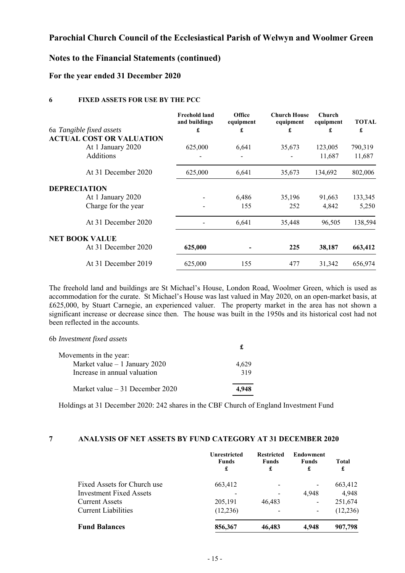## **Notes to the Financial Statements (continued)**

#### **For the year ended 31 December 2020**

#### **6 FIXED ASSETS FOR USE BY THE PCC**

|                                 | <b>Freehold land</b><br>and buildings | Office<br>equipment | <b>Church House</b><br>equipment | Church<br>equipment | <b>TOTAL</b> |
|---------------------------------|---------------------------------------|---------------------|----------------------------------|---------------------|--------------|
| 6a Tangible fixed assets        | £                                     | £                   | £                                | £                   | £            |
| <b>ACTUAL COST OR VALUATION</b> |                                       |                     |                                  |                     |              |
| At 1 January 2020               | 625,000                               | 6,641               | 35,673                           | 123,005             | 790,319      |
| Additions                       |                                       |                     |                                  | 11,687              | 11,687       |
| At 31 December 2020             | 625,000                               | 6,641               | 35,673                           | 134,692             | 802,006      |
| <b>DEPRECIATION</b>             |                                       |                     |                                  |                     |              |
| At 1 January 2020               |                                       | 6,486               | 35,196                           | 91,663              | 133,345      |
| Charge for the year             |                                       | 155                 | 252                              | 4.842               | 5,250        |
| At 31 December 2020             |                                       | 6,641               | 35,448                           | 96,505              | 138,594      |
| <b>NET BOOK VALUE</b>           |                                       |                     |                                  |                     |              |
| At 31 December 2020             | 625,000                               |                     | 225                              | 38,187              | 663,412      |
| At 31 December 2019             | 625,000                               | 155                 | 477                              | 31,342              | 656,974      |

The freehold land and buildings are St Michael's House, London Road, Woolmer Green, which is used as accommodation for the curate. St Michael's House was last valued in May 2020, on an open-market basis, at £625,000, by Stuart Carnegie, an experienced valuer. The property market in the area has not shown a significant increase or decrease since then. The house was built in the 1950s and its historical cost had not been reflected in the accounts.

| 6b Investment fixed assets       |       |
|----------------------------------|-------|
| Movements in the year:           |       |
| Market value $-1$ January 2020   | 4,629 |
| Increase in annual valuation     | 319   |
| Market value $-31$ December 2020 |       |

Holdings at 31 December 2020: 242 shares in the CBF Church of England Investment Fund

#### **7 ANALYSIS OF NET ASSETS BY FUND CATEGORY AT 31 DECEMBER 2020**

|                             | Unrestricted<br><b>Funds</b><br>£ | <b>Restricted</b><br><b>Funds</b><br>£ | <b>Endowment</b><br><b>Funds</b><br>£ | <b>Total</b><br>£ |
|-----------------------------|-----------------------------------|----------------------------------------|---------------------------------------|-------------------|
| Fixed Assets for Church use | 663,412                           |                                        | -                                     | 663,412           |
| Investment Fixed Assets     |                                   |                                        | 4.948                                 | 4,948             |
| <b>Current Assets</b>       | 205,191                           | 46.483                                 | -                                     | 251,674           |
| <b>Current Liabilities</b>  | (12, 236)                         |                                        | $\overline{\phantom{a}}$              | (12, 236)         |
| <b>Fund Balances</b>        | 856,367                           | 46,483                                 | 4.948                                 | 907,798           |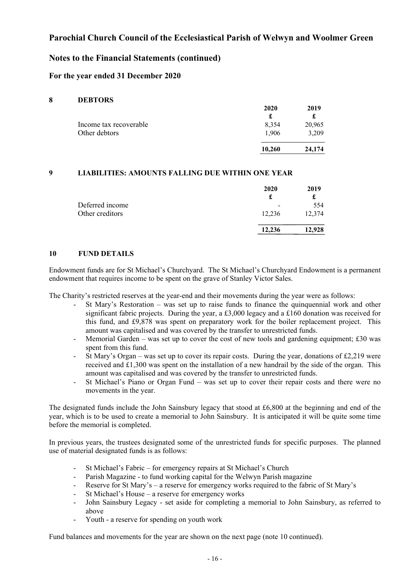## **Notes to the Financial Statements (continued)**

#### **For the year ended 31 December 2020**

#### **8 DEBTORS**

|                        | 2020   | 2019   |
|------------------------|--------|--------|
| Income tax recoverable | 8,354  | 20,965 |
| Other debtors          | 1.906  | 3,209  |
|                        | 10.260 | 24,174 |

#### **9 LIABILITIES: AMOUNTS FALLING DUE WITHIN ONE YEAR**

|                                    | 2020<br>£ | 2019   |
|------------------------------------|-----------|--------|
| Deferred income<br>Other creditors | -         | 554    |
|                                    | 12,236    | 12,374 |
|                                    | 12.236    | 12,928 |

#### **10 FUND DETAILS**

Endowment funds are for St Michael's Churchyard. The St Michael's Churchyard Endowment is a permanent endowment that requires income to be spent on the grave of Stanley Victor Sales.

The Charity's restricted reserves at the year-end and their movements during the year were as follows:

- St Mary's Restoration was set up to raise funds to finance the quinquennial work and other significant fabric projects. During the year, a £3,000 legacy and a £160 donation was received for this fund, and £9,878 was spent on preparatory work for the boiler replacement project. This amount was capitalised and was covered by the transfer to unrestricted funds.
- Memorial Garden was set up to cover the cost of new tools and gardening equipment;  $\text{\pounds}30$  was spent from this fund.
- St Mary's Organ was set up to cover its repair costs. During the year, donations of £2,219 were received and £1,300 was spent on the installation of a new handrail by the side of the organ. This amount was capitalised and was covered by the transfer to unrestricted funds.
- St Michael's Piano or Organ Fund was set up to cover their repair costs and there were no movements in the year.

The designated funds include the John Sainsbury legacy that stood at £6,800 at the beginning and end of the year, which is to be used to create a memorial to John Sainsbury. It is anticipated it will be quite some time before the memorial is completed.

In previous years, the trustees designated some of the unrestricted funds for specific purposes. The planned use of material designated funds is as follows:

- St Michael's Fabric for emergency repairs at St Michael's Church
- Parish Magazine to fund working capital for the Welwyn Parish magazine
- Reserve for St Mary's a reserve for emergency works required to the fabric of St Mary's
- St Michael's House a reserve for emergency works
- John Sainsbury Legacy set aside for completing a memorial to John Sainsbury, as referred to above
- Youth a reserve for spending on youth work

Fund balances and movements for the year are shown on the next page (note 10 continued).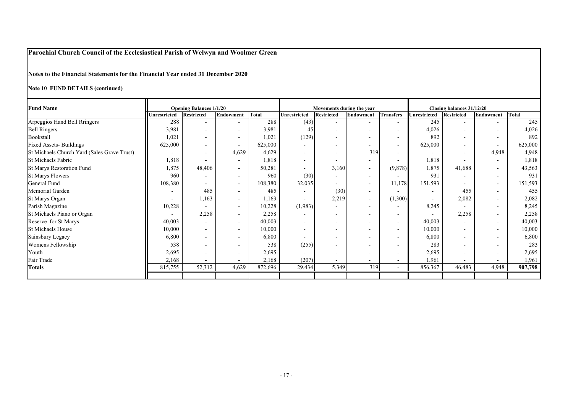**Notes to the Financial Statements for the Financial Year ended 31 December 2020**

**Note 10 FUND DETAILS (continued)**

| <b>Fund Name</b>                            | <b>Opening Balances 1/1/20</b><br><b>Restricted</b><br>Total<br><b>Unrestricted</b><br>Endowment |                          | Movements during the year<br><b>Unrestricted</b><br><b>Restricted</b><br><b>Transfers</b><br>Endowment |         |                          | Closing balances 31/12/20<br><b>Endowment</b><br>Total<br><b>Unrestricted</b><br><b>Restricted</b> |                          |                          |                          |        |                          |         |
|---------------------------------------------|--------------------------------------------------------------------------------------------------|--------------------------|--------------------------------------------------------------------------------------------------------|---------|--------------------------|----------------------------------------------------------------------------------------------------|--------------------------|--------------------------|--------------------------|--------|--------------------------|---------|
| Arpeggios Hand Bell Rringers                | 288                                                                                              | $\sim$                   | $\overline{\phantom{0}}$                                                                               | 288     | (43)                     | $\sim$                                                                                             |                          | $\sim$                   | 245                      |        | $\overline{\phantom{a}}$ | 245     |
| <b>Bell Ringers</b>                         | 3,981                                                                                            | $\overline{\phantom{a}}$ | Ξ.                                                                                                     | 3,981   | 45                       | $\sim$                                                                                             |                          | $\overline{\phantom{a}}$ | 4,026                    |        | $\overline{\phantom{a}}$ | 4,026   |
| Bookstall                                   | 1,021                                                                                            | $\overline{\phantom{a}}$ | $\overline{\phantom{a}}$                                                                               | 1,021   | (129)                    | $\overline{\phantom{a}}$                                                                           |                          | $\overline{\phantom{a}}$ | 892                      |        | $\overline{\phantom{a}}$ | 892     |
| <b>Fixed Assets-Buildings</b>               | 625,000                                                                                          | $\sim$                   | $\sim$                                                                                                 | 625,000 | $\sim$                   |                                                                                                    |                          | $\blacksquare$           | 625,000                  |        | $\sim$                   | 625,000 |
| St Michaels Church Yard (Sales Grave Trust) | $\overline{a}$                                                                                   | $\overline{\phantom{a}}$ | 4,629                                                                                                  | 4,629   | $\sim$                   | $\sim$                                                                                             | 319                      | $\blacksquare$           |                          |        | 4,948                    | 4,948   |
| St Michaels Fabric                          | 1,818                                                                                            | $\overline{\phantom{0}}$ | $\sim$                                                                                                 | 1,818   | $\overline{\phantom{a}}$ | $\sim$                                                                                             | $\sim$                   | $\sim$                   | 1,818                    |        | $\overline{\phantom{a}}$ | 1,818   |
| St Marys Restoration Fund                   | 1,875                                                                                            | 48,406                   | $\sim$                                                                                                 | 50,281  | $\sim$                   | 3,160                                                                                              | $\overline{\phantom{0}}$ | (9,878)                  | 1,875                    | 41,688 | $\sim$                   | 43,563  |
| <b>St Marys Flowers</b>                     | 960                                                                                              | $\overline{\phantom{a}}$ | Ξ.                                                                                                     | 960     | (30)                     | $\overline{\phantom{a}}$                                                                           |                          |                          | 931                      |        | $\overline{\phantom{a}}$ | 931     |
| General Fund                                | 108,380                                                                                          | $\sim$                   | $\sim$                                                                                                 | 108,380 | 32,035                   | $\sim$                                                                                             | $\overline{\phantom{a}}$ | 11,178                   | 151,593                  |        | $\sim$                   | 151,593 |
| Memorial Garden                             | $\overline{\phantom{a}}$                                                                         | 485                      | $\sim$                                                                                                 | 485     | $\overline{\phantom{a}}$ | (30)                                                                                               | $\sim$                   | $\sim$                   | $\overline{\phantom{0}}$ | 455    | $\sim$                   | 455     |
| St Marys Organ                              | $\overline{a}$                                                                                   | 1,163                    | $\sim$                                                                                                 | 1,163   | $\sim$                   | 2,219                                                                                              | $\sim$                   | (1,300)                  | $\overline{\phantom{a}}$ | 2,082  | $\overline{\phantom{a}}$ | 2,082   |
| Parish Magazine                             | 10,228                                                                                           | $\overline{\phantom{a}}$ | $\sim$                                                                                                 | 10,228  | (1,983)                  | $\sim$                                                                                             | $\overline{\phantom{a}}$ | $\sim$                   | 8,245                    |        | $\overline{\phantom{a}}$ | 8,245   |
| St Michaels Piano or Organ                  |                                                                                                  | 2,258                    | $\sim$                                                                                                 | 2,258   | $\overline{\phantom{a}}$ |                                                                                                    |                          | $\blacksquare$           |                          | 2,258  | $\overline{\phantom{a}}$ | 2,258   |
| Reserve for St Marys                        | 40,003                                                                                           | $\overline{\phantom{0}}$ | $\sim$                                                                                                 | 40,003  | $\overline{\phantom{a}}$ |                                                                                                    |                          | $\sim$                   | 40,003                   |        | $\overline{a}$           | 40,003  |
| <b>St Michaels House</b>                    | 10,000                                                                                           | $\sim$                   | Ξ.                                                                                                     | 10,000  | $\overline{\phantom{a}}$ |                                                                                                    |                          | $\overline{\phantom{a}}$ | 10,000                   |        | $\overline{\phantom{a}}$ | 10,000  |
| Sainsbury Legacy                            | 6,800                                                                                            | $\sim$                   | Ξ.                                                                                                     | 6,800   | $\overline{\phantom{a}}$ |                                                                                                    |                          | $\overline{\phantom{a}}$ | 6,800                    |        | $\overline{\phantom{a}}$ | 6,800   |
| Womens Fellowship                           | 538                                                                                              | $\overline{\phantom{0}}$ |                                                                                                        | 538     | (255)                    |                                                                                                    |                          | $\sim$                   | 283                      |        | $\overline{\phantom{a}}$ | 283     |
| Youth                                       | 2,695                                                                                            | $\sim$                   | -                                                                                                      | 2,695   | $\sim$                   |                                                                                                    |                          | $\overline{\phantom{a}}$ | 2,695                    |        | $\overline{\phantom{a}}$ | 2,695   |
| Fair Trade                                  | 2,168                                                                                            | $\sim$                   | $\blacksquare$                                                                                         | 2,168   | (207)                    |                                                                                                    |                          | $\blacksquare$           | 1,961                    |        | $\overline{\phantom{a}}$ | 1,961   |
| <b>Totals</b>                               | 815,755                                                                                          | 52,312                   | 4,629                                                                                                  | 872,696 | 29,434                   | 5,349                                                                                              | 319                      | $\sim$                   | 856,367                  | 46,483 | 4,948                    | 907,798 |
|                                             |                                                                                                  |                          |                                                                                                        |         |                          |                                                                                                    |                          |                          |                          |        |                          |         |